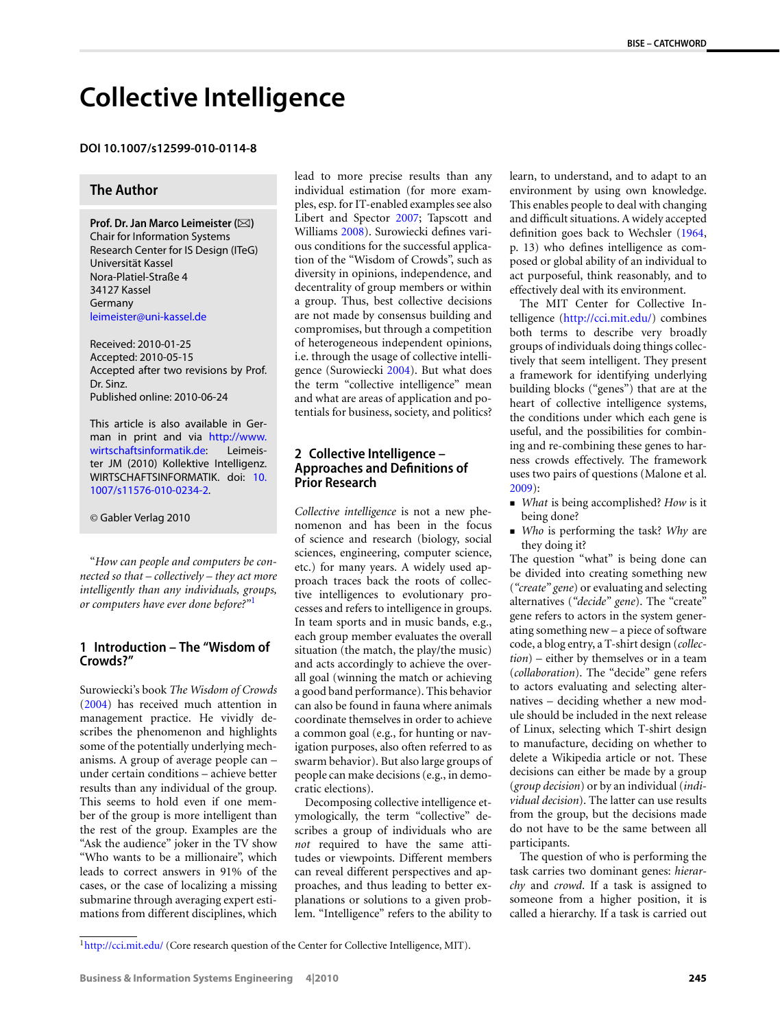# **Collective Intelligence**

#### **DOI 10.1007/s12599-010-0114-8**

## **The Author**

**Prof. Dr. Jan Marco Leimeister (** $\boxtimes$ **)** Chair for Information Systems Research Center for IS Design (ITeG) Universität Kassel Nora-Platiel-Straße 4 34127 Kassel Germany [leimeister@uni-kassel.de](mailto:leimeister@uni-kassel.de)

Received: 2010-01-25 Accepted: 2010-05-15 Accepted after two revisions by Prof. Dr. Sinz. Published online: 2010-06-24

This article is also available in German in print and via [http://www.](http://www.wirtschaftsinformatik.de) [wirtschaftsinformatik.de:](http://www.wirtschaftsinformatik.de) Leimeister JM (2010) Kollektive Intelligenz. WIRTSCHAFTSINFORMATIK. doi: [10.](http://dx.doi.org/10.1007/s11576-010-0234-2) [1007/s11576-010-0234-2.](http://dx.doi.org/10.1007/s11576-010-0234-2)

© Gabler Verlag 2010

"*How can people and computers be connected so that – collectively – they act more intelligently than any individuals, groups, or computers have ever done before?"*<sup>1</sup>

## **1 Introduction – The "Wisdom of Crowds?"**

Surowiecki's book *The Wisdom of Crowds* [\(2004](#page-3-0)) has received much attention in management practice. He vividly describes the phenomenon and highlights some of the potentially underlying mechanisms. A group of average people can – under certain conditions – achieve better results than any individual of the group. This seems to hold even if one member of the group is more intelligent than the rest of the group. Examples are the "Ask the audience" joker in the TV show "Who wants to be a millionaire", which leads to correct answers in 91% of the cases, or the case of localizing a missing submarine through averaging expert estimations from different disciplines, which lead to more precise results than any individual estimation (for more examples, esp. for IT-enabled examples see also Libert and Spector [2007;](#page-3-0) Tapscott and Williams [2008\)](#page-3-0). Surowiecki defines various conditions for the successful application of the "Wisdom of Crowds", such as diversity in opinions, independence, and decentrality of group members or within a group. Thus, best collective decisions are not made by consensus building and compromises, but through a competition of heterogeneous independent opinions, i.e. through the usage of collective intelligence (Surowiecki [2004\)](#page-3-0). But what does the term "collective intelligence" mean and what are areas of application and potentials for business, society, and politics?

### **2 Collective Intelligence – Approaches and Definitions of Prior Research**

*Collective intelligence* is not a new phenomenon and has been in the focus of science and research (biology, social sciences, engineering, computer science, etc.) for many years. A widely used approach traces back the roots of collective intelligences to evolutionary processes and refers to intelligence in groups. In team sports and in music bands, e.g., each group member evaluates the overall situation (the match, the play/the music) and acts accordingly to achieve the overall goal (winning the match or achieving a good band performance). This behavior can also be found in fauna where animals coordinate themselves in order to achieve a common goal (e.g., for hunting or navigation purposes, also often referred to as swarm behavior). But also large groups of people can make decisions (e.g., in democratic elections).

Decomposing collective intelligence etymologically, the term "collective" describes a group of individuals who are *not* required to have the same attitudes or viewpoints. Different members can reveal different perspectives and approaches, and thus leading to better explanations or solutions to a given problem. "Intelligence" refers to the ability to learn, to understand, and to adapt to an environment by using own knowledge. This enables people to deal with changing and difficult situations. A widely accepted definition goes back to Wechsler ([1964,](#page-3-0) p. 13) who defines intelligence as composed or global ability of an individual to act purposeful, think reasonably, and to effectively deal with its environment.

The MIT Center for Collective Intelligence [\(http://cci.mit.edu/\)](http://cci.mit.edu/) combines both terms to describe very broadly groups of individuals doing things collectively that seem intelligent. They present a framework for identifying underlying building blocks ("genes") that are at the heart of collective intelligence systems, the conditions under which each gene is useful, and the possibilities for combining and re-combining these genes to harness crowds effectively. The framework uses two pairs of questions (Malone et al. [2009](#page-3-0)):

- *What* is being accomplished? *How* is it being done?
- *Who* is performing the task? *Why* are they doing it?

The question "what" is being done can be divided into creating something new (*"create" gene*) or evaluating and selecting alternatives (*"decide" gene*). The "create" gene refers to actors in the system generating something new – a piece of software code, a blog entry, a T-shirt design (*collection*) – either by themselves or in a team (*collaboration*). The "decide" gene refers to actors evaluating and selecting alternatives – deciding whether a new module should be included in the next release of Linux, selecting which T-shirt design to manufacture, deciding on whether to delete a Wikipedia article or not. These decisions can either be made by a group (*group decision*) or by an individual (*individual decision*). The latter can use results from the group, but the decisions made do not have to be the same between all participants.

The question of who is performing the task carries two dominant genes: *hierarchy* and *crowd*. If a task is assigned to someone from a higher position, it is called a hierarchy. If a task is carried out

1<http://cci.mit.edu/> (Core research question of the Center for Collective Intelligence, MIT).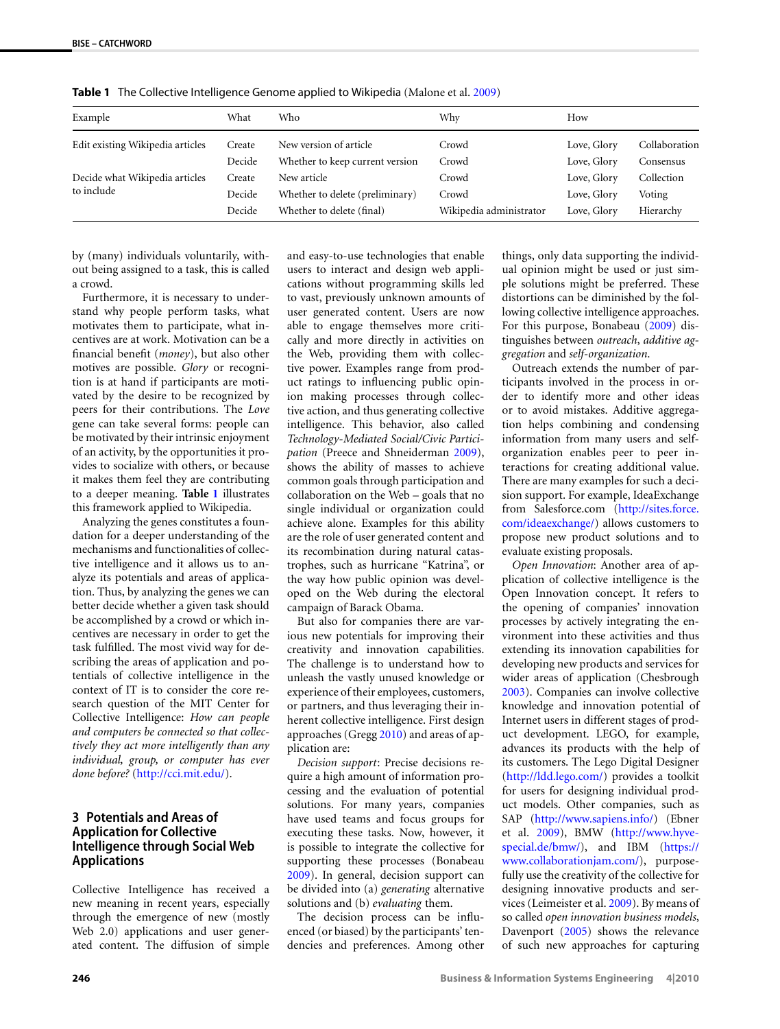| Example                                      | What   | Who                             | Why                     | How         |               |
|----------------------------------------------|--------|---------------------------------|-------------------------|-------------|---------------|
| Edit existing Wikipedia articles             | Create | New version of article          | Crowd                   | Love, Glory | Collaboration |
|                                              | Decide | Whether to keep current version | Crowd                   | Love, Glory | Consensus     |
| Decide what Wikipedia articles<br>to include | Create | New article                     | Crowd                   | Love, Glory | Collection    |
|                                              | Decide | Whether to delete (preliminary) | Crowd                   | Love, Glory | Voting        |
|                                              | Decide | Whether to delete (final)       | Wikipedia administrator | Love, Glory | Hierarchy     |

**Table 1** The Collective Intelligence Genome applied to Wikipedia (Malone et al. [2009](#page-3-0))

by (many) individuals voluntarily, without being assigned to a task, this is called a crowd.

Furthermore, it is necessary to understand why people perform tasks, what motivates them to participate, what incentives are at work. Motivation can be a financial benefit (*money*), but also other motives are possible. *Glory* or recognition is at hand if participants are motivated by the desire to be recognized by peers for their contributions. The *Love* gene can take several forms: people can be motivated by their intrinsic enjoyment of an activity, by the opportunities it provides to socialize with others, or because it makes them feel they are contributing to a deeper meaning. **Table 1** illustrates this framework applied to Wikipedia.

Analyzing the genes constitutes a foundation for a deeper understanding of the mechanisms and functionalities of collective intelligence and it allows us to analyze its potentials and areas of application. Thus, by analyzing the genes we can better decide whether a given task should be accomplished by a crowd or which incentives are necessary in order to get the task fulfilled. The most vivid way for describing the areas of application and potentials of collective intelligence in the context of IT is to consider the core research question of the MIT Center for Collective Intelligence: *How can people and computers be connected so that collectively they act more intelligently than any individual, group, or computer has ever done before?* [\(http://cci.mit.edu/\)](http://cci.mit.edu/).

## **3 Potentials and Areas of Application for Collective Intelligence through Social Web Applications**

Collective Intelligence has received a new meaning in recent years, especially through the emergence of new (mostly Web 2.0) applications and user generated content. The diffusion of simple and easy-to-use technologies that enable users to interact and design web applications without programming skills led to vast, previously unknown amounts of user generated content. Users are now able to engage themselves more critically and more directly in activities on the Web, providing them with collective power. Examples range from product ratings to influencing public opinion making processes through collective action, and thus generating collective intelligence. This behavior, also called *Technology-Mediated Social/Civic Participation* (Preece and Shneiderman [2009](#page-3-0)), shows the ability of masses to achieve common goals through participation and collaboration on the Web – goals that no single individual or organization could achieve alone. Examples for this ability are the role of user generated content and its recombination during natural catastrophes, such as hurricane "Katrina", or the way how public opinion was developed on the Web during the electoral campaign of Barack Obama.

But also for companies there are various new potentials for improving their creativity and innovation capabilities. The challenge is to understand how to unleash the vastly unused knowledge or experience of their employees, customers, or partners, and thus leveraging their inherent collective intelligence. First design approaches (Gregg [2010\)](#page-2-0) and areas of application are:

*Decision support*: Precise decisions require a high amount of information processing and the evaluation of potential solutions. For many years, companies have used teams and focus groups for executing these tasks. Now, however, it is possible to integrate the collective for supporting these processes (Bonabeau [2009](#page-2-0)). In general, decision support can be divided into (a) *generating* alternative solutions and (b) *evaluating* them.

The decision process can be influenced (or biased) by the participants' tendencies and preferences. Among other

things, only data supporting the individual opinion might be used or just simple solutions might be preferred. These distortions can be diminished by the following collective intelligence approaches. For this purpose, Bonabeau ([2009\)](#page-2-0) distinguishes between *outreach*, *additive aggregation* and *self-organization*.

Outreach extends the number of participants involved in the process in order to identify more and other ideas or to avoid mistakes. Additive aggregation helps combining and condensing information from many users and selforganization enables peer to peer interactions for creating additional value. There are many examples for such a decision support. For example, IdeaExchange from Salesforce.com [\(http://sites.force.](http://sites.force.com/ideaexchange/) [com/ideaexchange/\)](http://sites.force.com/ideaexchange/) allows customers to propose new product solutions and to evaluate existing proposals.

*Open Innovation*: Another area of application of collective intelligence is the Open Innovation concept. It refers to the opening of companies' innovation processes by actively integrating the environment into these activities and thus extending its innovation capabilities for developing new products and services for wider areas of application (Chesbrough [2003](#page-2-0)). Companies can involve collective knowledge and innovation potential of Internet users in different stages of product development. LEGO, for example, advances its products with the help of its customers. The Lego Digital Designer [\(http://ldd.lego.com/](http://ldd.lego.com/)) provides a toolkit for users for designing individual product models. Other companies, such as SAP (<http://www.sapiens.info/>) (Ebner et al. [2009](#page-2-0)), BMW [\(http://www.hyve](http://www.hyve-special.de/bmw/)[special.de/bmw/](http://www.hyve-special.de/bmw/)), and IBM [\(https://](https://www.collaborationjam.com/) [www.collaborationjam.com/\)](https://www.collaborationjam.com/), purposefully use the creativity of the collective for designing innovative products and services (Leimeister et al. [2009](#page-3-0)). By means of so called *open innovation business models*, Davenport ([2005](#page-2-0)) shows the relevance of such new approaches for capturing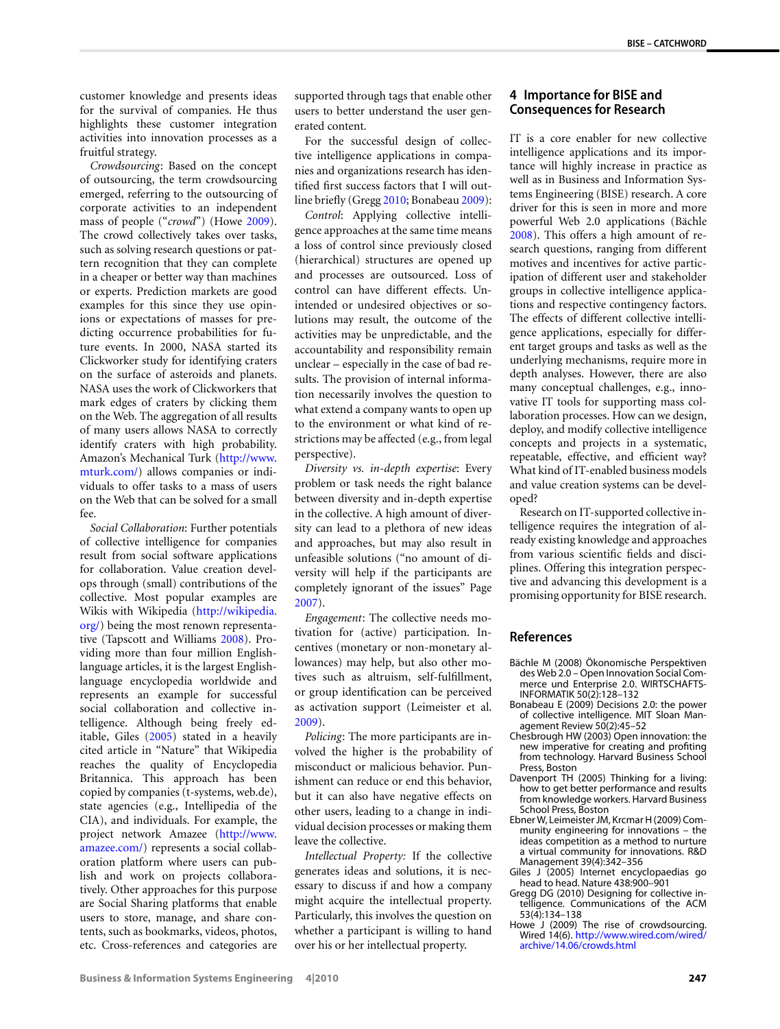<span id="page-2-0"></span>customer knowledge and presents ideas for the survival of companies. He thus highlights these customer integration activities into innovation processes as a fruitful strategy.

*Crowdsourcing*: Based on the concept of outsourcing, the term crowdsourcing emerged, referring to the outsourcing of corporate activities to an independent mass of people ("*crowd*") (Howe 2009). The crowd collectively takes over tasks, such as solving research questions or pattern recognition that they can complete in a cheaper or better way than machines or experts. Prediction markets are good examples for this since they use opinions or expectations of masses for predicting occurrence probabilities for future events. In 2000, NASA started its Clickworker study for identifying craters on the surface of asteroids and planets. NASA uses the work of Clickworkers that mark edges of craters by clicking them on the Web. The aggregation of all results of many users allows NASA to correctly identify craters with high probability. Amazon's Mechanical Turk ([http://www.](http://www.mturk.com/) [mturk.com/\)](http://www.mturk.com/) allows companies or individuals to offer tasks to a mass of users on the Web that can be solved for a small fee.

*Social Collaboration*: Further potentials of collective intelligence for companies result from social software applications for collaboration. Value creation develops through (small) contributions of the collective. Most popular examples are Wikis with Wikipedia [\(http://wikipedia.](http://wikipedia.org/) [org/](http://wikipedia.org/)) being the most renown representative (Tapscott and Williams [2008\)](#page-3-0). Providing more than four million Englishlanguage articles, it is the largest Englishlanguage encyclopedia worldwide and represents an example for successful social collaboration and collective intelligence. Although being freely editable, Giles (2005) stated in a heavily cited article in "Nature" that Wikipedia reaches the quality of Encyclopedia Britannica. This approach has been copied by companies (t-systems, web.de), state agencies (e.g., Intellipedia of the CIA), and individuals. For example, the project network Amazee ([http://www.](http://www.amazee.com/) [amazee.com/](http://www.amazee.com/)) represents a social collaboration platform where users can publish and work on projects collaboratively. Other approaches for this purpose are Social Sharing platforms that enable users to store, manage, and share contents, such as bookmarks, videos, photos, etc. Cross-references and categories are supported through tags that enable other users to better understand the user generated content.

For the successful design of collective intelligence applications in companies and organizations research has identified first success factors that I will outline briefly (Gregg 2010; Bonabeau 2009):

*Control*: Applying collective intelligence approaches at the same time means a loss of control since previously closed (hierarchical) structures are opened up and processes are outsourced. Loss of control can have different effects. Unintended or undesired objectives or solutions may result, the outcome of the activities may be unpredictable, and the accountability and responsibility remain unclear – especially in the case of bad results. The provision of internal information necessarily involves the question to what extend a company wants to open up to the environment or what kind of restrictions may be affected (e.g., from legal perspective).

*Diversity vs. in-depth expertise*: Every problem or task needs the right balance between diversity and in-depth expertise in the collective. A high amount of diversity can lead to a plethora of new ideas and approaches, but may also result in unfeasible solutions ("no amount of diversity will help if the participants are completely ignorant of the issues" Page [2007](#page-3-0)).

*Engagement*: The collective needs motivation for (active) participation. Incentives (monetary or non-monetary allowances) may help, but also other motives such as altruism, self-fulfillment, or group identification can be perceived as activation support (Leimeister et al. [2009](#page-3-0)).

*Policing*: The more participants are involved the higher is the probability of misconduct or malicious behavior. Punishment can reduce or end this behavior, but it can also have negative effects on other users, leading to a change in individual decision processes or making them leave the collective.

*Intellectual Property:* If the collective generates ideas and solutions, it is necessary to discuss if and how a company might acquire the intellectual property. Particularly, this involves the question on whether a participant is willing to hand over his or her intellectual property.

## **4 Importance for BISE and Consequences for Research**

IT is a core enabler for new collective intelligence applications and its importance will highly increase in practice as well as in Business and Information Systems Engineering (BISE) research. A core driver for this is seen in more and more powerful Web 2.0 applications (Bächle 2008). This offers a high amount of research questions, ranging from different motives and incentives for active participation of different user and stakeholder groups in collective intelligence applications and respective contingency factors. The effects of different collective intelligence applications, especially for different target groups and tasks as well as the underlying mechanisms, require more in depth analyses. However, there are also many conceptual challenges, e.g., innovative IT tools for supporting mass collaboration processes. How can we design, deploy, and modify collective intelligence concepts and projects in a systematic, repeatable, effective, and efficient way? What kind of IT-enabled business models and value creation systems can be developed?

Research on IT-supported collective intelligence requires the integration of already existing knowledge and approaches from various scientific fields and disciplines. Offering this integration perspective and advancing this development is a promising opportunity for BISE research.

#### **References**

- Bächle M (2008) Ökonomische Perspektiven des Web 2.0 – Open Innovation Social Commerce und Enterprise 2.0. WIRTSCHAFTS-INFORMATIK 50(2):128–132
- Bonabeau E (2009) Decisions 2.0: the power of collective intelligence. MIT Sloan Management Review 50(2):45–52
- Chesbrough HW (2003) Open innovation: the new imperative for creating and profiting from technology. Harvard Business School Press, Boston
- Davenport TH (2005) Thinking for a living: how to get better performance and results from knowledge workers. Harvard Business School Press, Boston
- Ebner W, Leimeister JM, Krcmar H (2009) Community engineering for innovations – the ideas competition as a method to nurture a virtual community for innovations. R&D Management 39(4):342–356
- Giles J (2005) Internet encyclopaedias go head to head. Nature 438:900-901
- Gregg DG (2010) Designing for collective intelligence. Communications of the ACM 53(4):134–138
- Howe J (2009) The rise of crowdsourcing. Wired 14(6). [http://www.wired.com/wired/](http://www.wired.com/wired/archive/14.06/crowds.html) [archive/14.06/crowds.html](http://www.wired.com/wired/archive/14.06/crowds.html)